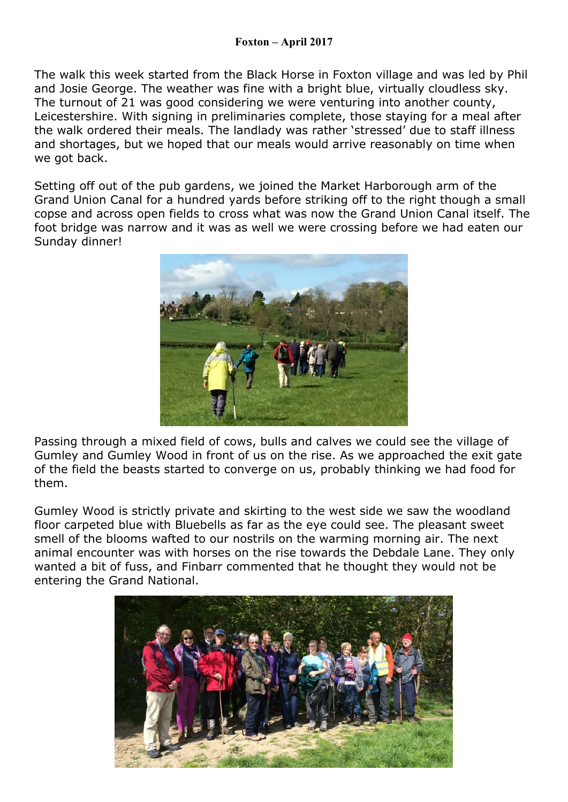The walk this week started from the Black Horse in Foxton village and was led by Phil and Josie George. The weather was fine with a bright blue, virtually cloudless sky. The turnout of 21 was good considering we were venturing into another county, Leicestershire. With signing in preliminaries complete, those staying for a meal after the walk ordered their meals. The landlady was rather 'stressed' due to staff illness and shortages, but we hoped that our meals would arrive reasonably on time when we got back.

Setting off out of the pub gardens, we joined the Market Harborough arm of the Grand Union Canal for a hundred yards before striking off to the right though a small copse and across open fields to cross what was now the Grand Union Canal itself. The foot bridge was narrow and it was as well we were crossing before we had eaten our Sunday dinner!



Passing through a mixed field of cows, bulls and calves we could see the village of Gumley and Gumley Wood in front of us on the rise. As we approached the exit gate of the field the beasts started to converge on us, probably thinking we had food for them.

Gumley Wood is strictly private and skirting to the west side we saw the woodland floor carpeted blue with Bluebells as far as the eye could see. The pleasant sweet smell of the blooms wafted to our nostrils on the warming morning air. The next animal encounter was with horses on the rise towards the Debdale Lane. They only wanted a bit of fuss, and Finbarr commented that he thought they would not be entering the Grand National.